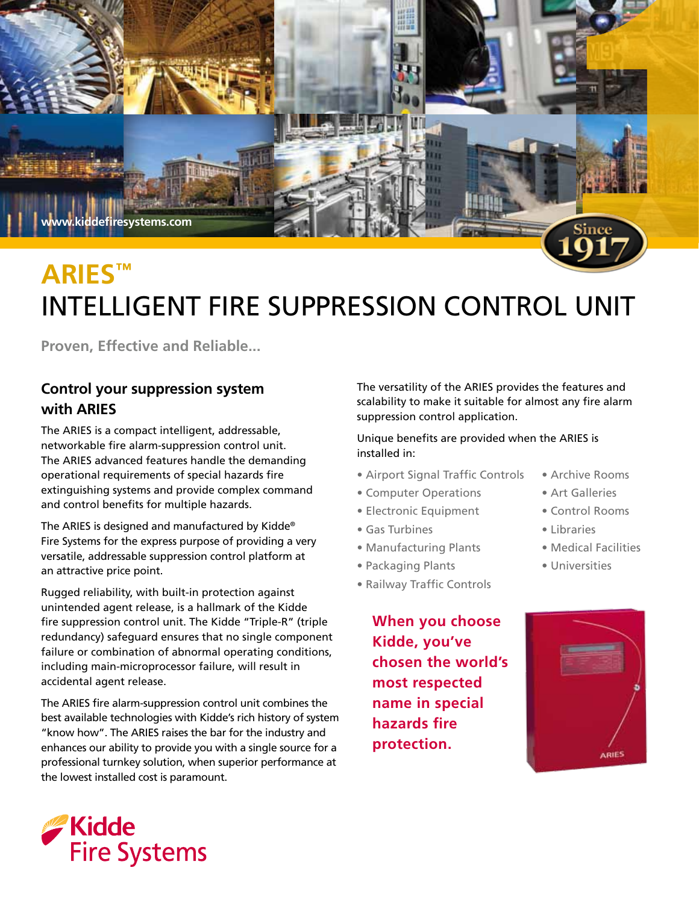

# **aries™** INTELLIGENT Fire Suppression Control Unit

**Proven, Effective and Reliable...** 

## **Control your suppression system with ARIES**

The ARIES is a compact intelligent, addressable, networkable fire alarm-suppression control unit. The ARIES advanced features handle the demanding operational requirements of special hazards fire extinguishing systems and provide complex command and control benefits for multiple hazards.

The ARIES is designed and manufactured by Kidde® Fire Systems for the express purpose of providing a very versatile, addressable suppression control platform at an attractive price point.

Rugged reliability, with built-in protection against unintended agent release, is a hallmark of the Kidde fire suppression control unit. The Kidde "Triple-R" (triple redundancy) safeguard ensures that no single component failure or combination of abnormal operating conditions, including main-microprocessor failure, will result in accidental agent release.

The ARIES fire alarm-suppression control unit combines the best available technologies with Kidde's rich history of system "know how". The ARIES raises the bar for the industry and enhances our ability to provide you with a single source for a professional turnkey solution, when superior performance at the lowest installed cost is paramount.

The versatility of the ARIES provides the features and scalability to make it suitable for almost any fire alarm suppression control application.

#### Unique benefits are provided when the ARIES is installed in:

- Airport Signal Traffic Controls Archive Rooms
- Computer Operations Art Galleries
- Electronic Equipment Control Rooms
- Gas Turbines Libraries
- Manufacturing Plants Medical Facilities
- Packaging Plants Universities
- Railway Traffic Controls

**When you choose Kidde, you've chosen the world's most respected name in special hazards fire protection.**



- 
- 
- 
- 
-